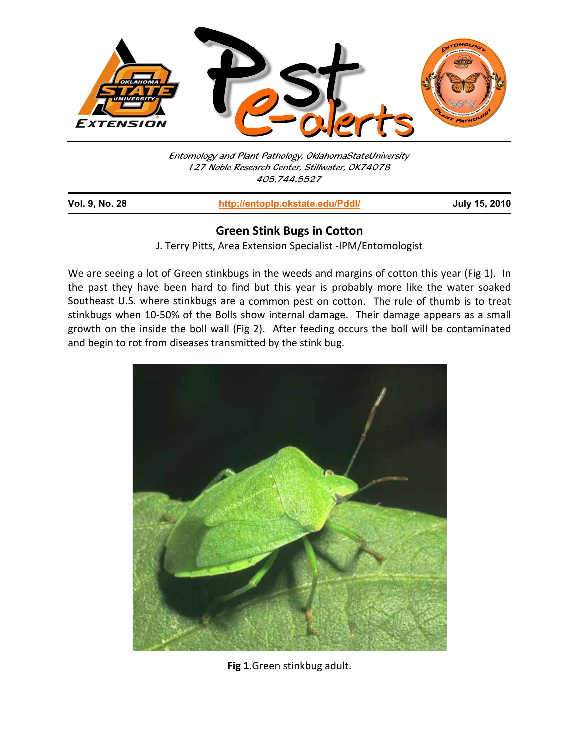

Entomology and Plant Pathology, OklahomaStateUniversity 127 Noble Research Center, Stillwater, OK74078 405.744.5527

| <b>Vol. 9, No. 28</b> | http://entoplp.okstate.edu/Pddl/ | <b>July 15, 2010</b> |  |
|-----------------------|----------------------------------|----------------------|--|
|                       |                                  |                      |  |

## **Green Stink Bugs in Cotton**

J. Terry Pitts, Area Extension Specialist ‐IPM/Entomologist

We are seeing a lot of Green stinkbugs in the weeds and margins of cotton this year (Fig 1). In the past they have been hard to find but this year is probably more like the water soaked Southeast U.S. where stinkbugs are a common pest on cotton. The rule of thumb is to treat stinkbugs when 10‐50% of the Bolls show internal damage. Their damage appears as a small growth on the inside the boll wall (Fig 2). After feeding occurs the boll will be contaminated and begin to rot from diseases transmitted by the stink bug.



**Fig 1**.Green stinkbug adult.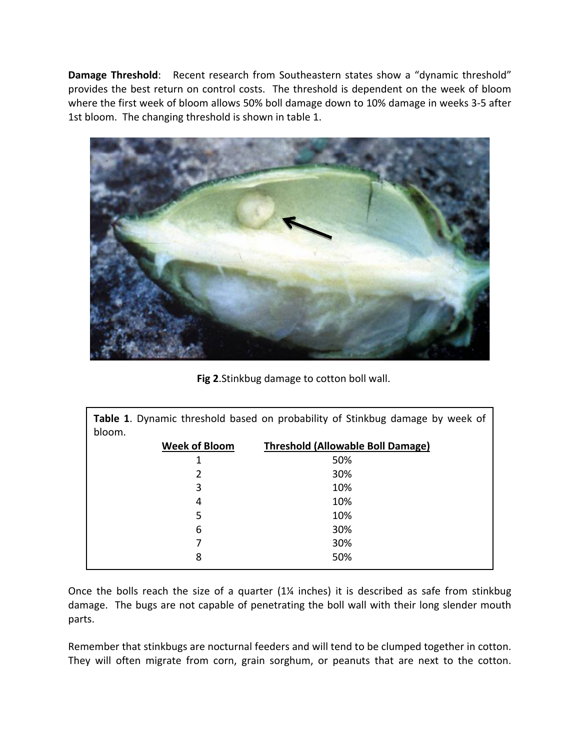**Damage Threshold**: Recent research from Southeastern states show a "dynamic threshold" provides the best return on control costs. The threshold is dependent on the week of bloom where the first week of bloom allows 50% boll damage down to 10% damage in weeks 3‐5 after 1st bloom. The changing threshold is shown in table 1.



**Fig 2**.Stinkbug damage to cotton boll wall.

**Table 1**. Dynamic threshold based on probability of Stinkbug damage by week of bloom.

| <b>Week of Bloom</b> | <b>Threshold (Allowable Boll Damage)</b> |  |
|----------------------|------------------------------------------|--|
| 1                    | 50%                                      |  |
| 2                    | 30%                                      |  |
| 3                    | 10%                                      |  |
| 4                    | 10%                                      |  |
| 5                    | 10%                                      |  |
| 6                    | 30%                                      |  |
|                      | 30%                                      |  |
| 8                    | 50%                                      |  |

Once the bolls reach the size of a quarter (1¼ inches) it is described as safe from stinkbug damage. The bugs are not capable of penetrating the boll wall with their long slender mouth parts.

Remember that stinkbugs are nocturnal feeders and will tend to be clumped together in cotton. They will often migrate from corn, grain sorghum, or peanuts that are next to the cotton.